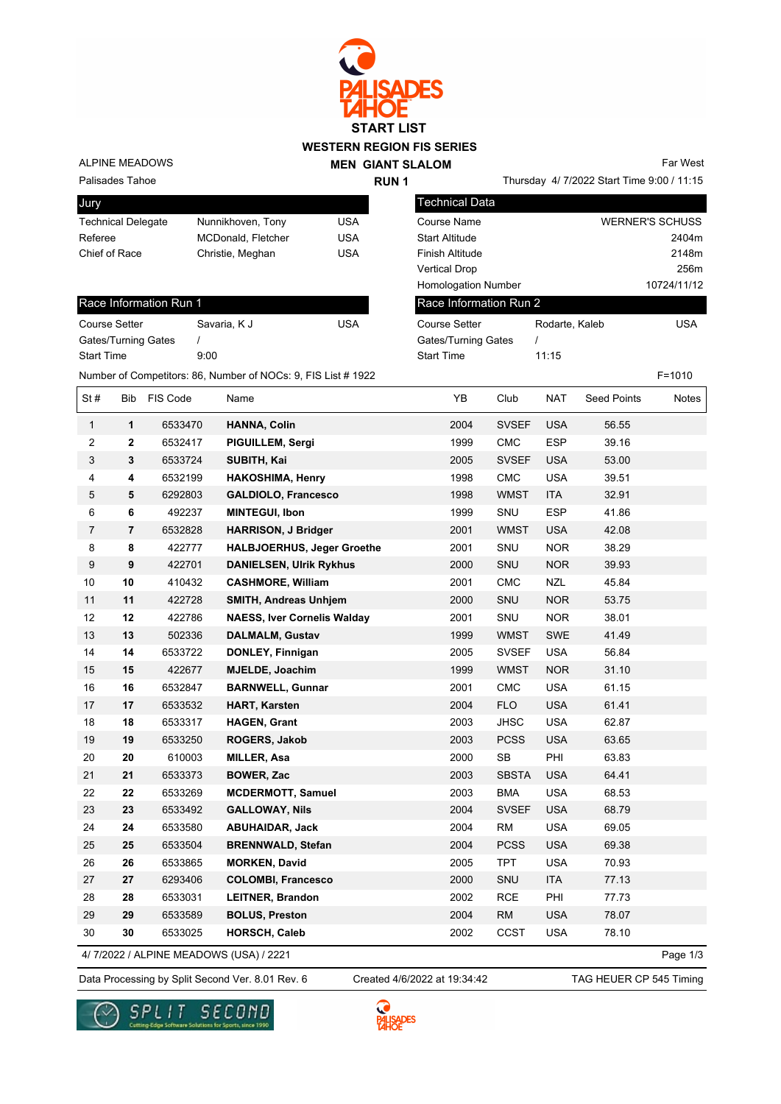

## **WESTERN REGION FIS SERIES**

ALPINE MEADOWS

**Jury** 

|             | <b>MEN GIANT SLALOM</b> |
|-------------|-------------------------|
| <b>RUN1</b> |                         |

Thursday 4/ 7/2022 Start Time 9:00 / 11:15 Far West

Palisades Tahoe

| $-11$                     |                           |     |
|---------------------------|---------------------------|-----|
| <b>Technical Delegate</b> | Nunnikhoven, Tony         | USA |
| Referee                   | <b>MCDonald, Fletcher</b> | USA |
| Chief of Race             | Christie, Meghan          | USA |
|                           |                           |     |

| Technical Data             |                |                        |
|----------------------------|----------------|------------------------|
| Course Name                |                | <b>WERNER'S SCHUSS</b> |
| <b>Start Altitude</b>      |                | 2404m                  |
| Finish Altitude            |                | 2148m                  |
| <b>Vertical Drop</b>       |                | 256m                   |
| <b>Homologation Number</b> |                | 10724/11/12            |
| Race Information Run 2     |                |                        |
| Course Setter              | Rodarte, Kaleb | USA                    |
| Gates/Turning Gates        |                |                        |

Start Time 11:15

## Race Information Run 1

| Savaria, K J | USA |
|--------------|-----|
|              |     |
| 9:00         |     |
|              |     |

Number of Competitors: 86, Number of NOCs: 9, FIS List # 1922 F=1010

| St#            | Bib            | FIS Code | Name                                   | YB   | Club         | NAT        | <b>Seed Points</b> | Notes    |
|----------------|----------------|----------|----------------------------------------|------|--------------|------------|--------------------|----------|
| $\mathbf{1}$   | $\mathbf 1$    | 6533470  | <b>HANNA, Colin</b>                    | 2004 | <b>SVSEF</b> | <b>USA</b> | 56.55              |          |
| $\mathbf 2$    | $\mathbf{2}$   | 6532417  | PIGUILLEM, Sergi                       | 1999 | CMC          | <b>ESP</b> | 39.16              |          |
| $\sqrt{3}$     | 3              | 6533724  | SUBITH, Kai                            | 2005 | <b>SVSEF</b> | <b>USA</b> | 53.00              |          |
| $\overline{4}$ | 4              | 6532199  | <b>HAKOSHIMA, Henry</b>                | 1998 | ${\sf CMC}$  | <b>USA</b> | 39.51              |          |
| $\,$ 5 $\,$    | 5              | 6292803  | <b>GALDIOLO, Francesco</b>             | 1998 | <b>WMST</b>  | <b>ITA</b> | 32.91              |          |
| 6              | 6              | 492237   | <b>MINTEGUI, Ibon</b>                  | 1999 | SNU          | <b>ESP</b> | 41.86              |          |
| $\overline{7}$ | $\overline{7}$ | 6532828  | <b>HARRISON, J Bridger</b>             | 2001 | <b>WMST</b>  | <b>USA</b> | 42.08              |          |
| 8              | 8              | 422777   | <b>HALBJOERHUS, Jeger Groethe</b>      | 2001 | SNU          | <b>NOR</b> | 38.29              |          |
| 9              | 9              | 422701   | <b>DANIELSEN, Ulrik Rykhus</b>         | 2000 | SNU          | <b>NOR</b> | 39.93              |          |
| 10             | 10             | 410432   | <b>CASHMORE, William</b>               | 2001 | <b>CMC</b>   | <b>NZL</b> | 45.84              |          |
| 11             | 11             | 422728   | <b>SMITH, Andreas Unhjem</b>           | 2000 | SNU          | <b>NOR</b> | 53.75              |          |
| 12             | 12             | 422786   | <b>NAESS, Iver Cornelis Walday</b>     | 2001 | SNU          | <b>NOR</b> | 38.01              |          |
| 13             | 13             | 502336   | <b>DALMALM, Gustav</b>                 | 1999 | <b>WMST</b>  | SWE        | 41.49              |          |
| 14             | 14             | 6533722  | DONLEY, Finnigan                       | 2005 | <b>SVSEF</b> | <b>USA</b> | 56.84              |          |
| 15             | 15             | 422677   | <b>MJELDE, Joachim</b>                 | 1999 | <b>WMST</b>  | <b>NOR</b> | 31.10              |          |
| 16             | 16             | 6532847  | <b>BARNWELL, Gunnar</b>                | 2001 | <b>CMC</b>   | <b>USA</b> | 61.15              |          |
| 17             | 17             | 6533532  | <b>HART, Karsten</b>                   | 2004 | <b>FLO</b>   | <b>USA</b> | 61.41              |          |
| 18             | 18             | 6533317  | <b>HAGEN, Grant</b>                    | 2003 | <b>JHSC</b>  | <b>USA</b> | 62.87              |          |
| 19             | 19             | 6533250  | ROGERS, Jakob                          | 2003 | <b>PCSS</b>  | <b>USA</b> | 63.65              |          |
| 20             | 20             | 610003   | <b>MILLER, Asa</b>                     | 2000 | <b>SB</b>    | PHI        | 63.83              |          |
| 21             | 21             | 6533373  | <b>BOWER, Zac</b>                      | 2003 | <b>SBSTA</b> | <b>USA</b> | 64.41              |          |
| 22             | 22             | 6533269  | <b>MCDERMOTT, Samuel</b>               | 2003 | <b>BMA</b>   | <b>USA</b> | 68.53              |          |
| 23             | 23             | 6533492  | <b>GALLOWAY, Nils</b>                  | 2004 | <b>SVSEF</b> | <b>USA</b> | 68.79              |          |
| 24             | 24             | 6533580  | <b>ABUHAIDAR, Jack</b>                 | 2004 | <b>RM</b>    | <b>USA</b> | 69.05              |          |
| 25             | 25             | 6533504  | <b>BRENNWALD, Stefan</b>               | 2004 | <b>PCSS</b>  | <b>USA</b> | 69.38              |          |
| 26             | 26             | 6533865  | <b>MORKEN, David</b>                   | 2005 | <b>TPT</b>   | <b>USA</b> | 70.93              |          |
| 27             | 27             | 6293406  | <b>COLOMBI, Francesco</b>              | 2000 | SNU          | <b>ITA</b> | 77.13              |          |
| 28             | 28             | 6533031  | <b>LEITNER, Brandon</b>                | 2002 | RCE          | PHI        | 77.73              |          |
| 29             | 29             | 6533589  | <b>BOLUS, Preston</b>                  | 2004 | <b>RM</b>    | <b>USA</b> | 78.07              |          |
| 30             | 30             | 6533025  | <b>HORSCH, Caleb</b>                   | 2002 | CCST         | <b>USA</b> | 78.10              |          |
|                |                |          | 4/7/2022 / ALPINE MEADOWS (USA) / 2221 |      |              |            |                    | Page 1/3 |

4/ 7/2022 / ALPINE MEADOWS (USA) / 2221

Data Processing by Split Second Ver. 8.01 Rev. 6 Created 4/6/2022 at 19:34:42 TAG HEUER CP 545 Timing Created 4/6/2022 at 19:34:42



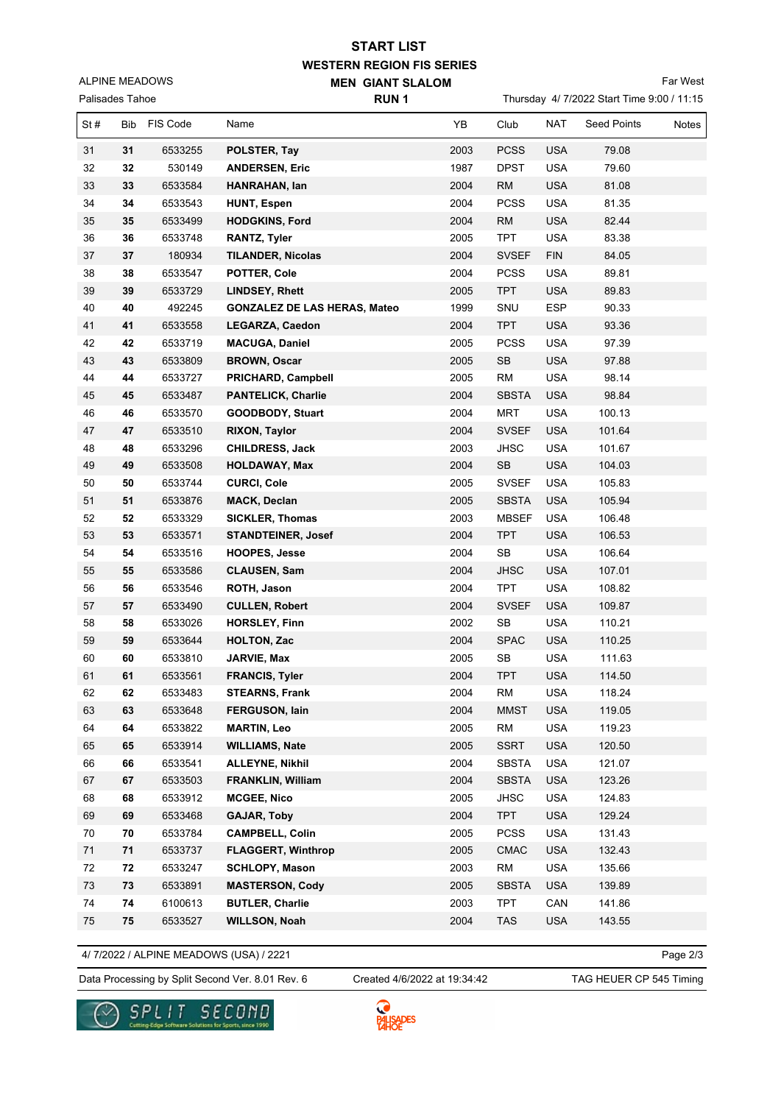## **WESTERN REGION FIS SERIES MEN GIANT SLALOM START LIST**

ALPINE MEADOWS

Far West

| Palisades Tahoe |            |          | <b>RUN1</b>                         |      | Thursday 4/7/2022 Start Time 9:00 / 11:15 |            |                    |              |  |
|-----------------|------------|----------|-------------------------------------|------|-------------------------------------------|------------|--------------------|--------------|--|
| St#             | <b>Bib</b> | FIS Code | Name                                | YB   | Club                                      | <b>NAT</b> | <b>Seed Points</b> | <b>Notes</b> |  |
| 31              | 31         | 6533255  | POLSTER, Tay                        | 2003 | <b>PCSS</b>                               | <b>USA</b> | 79.08              |              |  |
| 32              | 32         | 530149   | <b>ANDERSEN, Eric</b>               | 1987 | <b>DPST</b>                               | <b>USA</b> | 79.60              |              |  |
| 33              | 33         | 6533584  | HANRAHAN, lan                       | 2004 | <b>RM</b>                                 | <b>USA</b> | 81.08              |              |  |
| 34              | 34         | 6533543  | HUNT, Espen                         | 2004 | <b>PCSS</b>                               | <b>USA</b> | 81.35              |              |  |
| 35              | 35         | 6533499  | <b>HODGKINS, Ford</b>               | 2004 | RM                                        | <b>USA</b> | 82.44              |              |  |
| 36              | 36         | 6533748  | <b>RANTZ, Tyler</b>                 | 2005 | <b>TPT</b>                                | <b>USA</b> | 83.38              |              |  |
| 37              | 37         | 180934   | <b>TILANDER, Nicolas</b>            | 2004 | <b>SVSEF</b>                              | <b>FIN</b> | 84.05              |              |  |
| 38              | 38         | 6533547  | POTTER, Cole                        | 2004 | <b>PCSS</b>                               | <b>USA</b> | 89.81              |              |  |
| 39              | 39         | 6533729  | <b>LINDSEY, Rhett</b>               | 2005 | <b>TPT</b>                                | <b>USA</b> | 89.83              |              |  |
| 40              | 40         | 492245   | <b>GONZALEZ DE LAS HERAS, Mateo</b> | 1999 | SNU                                       | <b>ESP</b> | 90.33              |              |  |
| 41              | 41         | 6533558  | <b>LEGARZA, Caedon</b>              | 2004 | <b>TPT</b>                                | <b>USA</b> | 93.36              |              |  |
| 42              | 42         | 6533719  | <b>MACUGA, Daniel</b>               | 2005 | <b>PCSS</b>                               | <b>USA</b> | 97.39              |              |  |
| 43              | 43         | 6533809  | <b>BROWN, Oscar</b>                 | 2005 | SB                                        | <b>USA</b> | 97.88              |              |  |
| 44              | 44         | 6533727  | <b>PRICHARD, Campbell</b>           | 2005 | <b>RM</b>                                 | <b>USA</b> | 98.14              |              |  |
| 45              | 45         | 6533487  | <b>PANTELICK, Charlie</b>           | 2004 | <b>SBSTA</b>                              | <b>USA</b> | 98.84              |              |  |
| 46              | 46         | 6533570  | GOODBODY, Stuart                    | 2004 | <b>MRT</b>                                | <b>USA</b> | 100.13             |              |  |
| 47              | 47         | 6533510  | <b>RIXON, Taylor</b>                | 2004 | <b>SVSEF</b>                              | <b>USA</b> | 101.64             |              |  |
| 48              | 48         | 6533296  | <b>CHILDRESS, Jack</b>              | 2003 | <b>JHSC</b>                               | <b>USA</b> | 101.67             |              |  |
| 49              | 49         | 6533508  | <b>HOLDAWAY, Max</b>                | 2004 | ${\sf SB}$                                | <b>USA</b> | 104.03             |              |  |
| 50              | 50         | 6533744  | <b>CURCI, Cole</b>                  | 2005 | <b>SVSEF</b>                              | <b>USA</b> | 105.83             |              |  |
| 51              | 51         | 6533876  | <b>MACK, Declan</b>                 | 2005 | <b>SBSTA</b>                              | <b>USA</b> | 105.94             |              |  |
| 52              | 52         | 6533329  | <b>SICKLER, Thomas</b>              | 2003 | <b>MBSEF</b>                              | <b>USA</b> | 106.48             |              |  |
| 53              | 53         | 6533571  | <b>STANDTEINER, Josef</b>           | 2004 | <b>TPT</b>                                | <b>USA</b> | 106.53             |              |  |
| 54              | 54         | 6533516  | <b>HOOPES, Jesse</b>                | 2004 | SB                                        | <b>USA</b> | 106.64             |              |  |
| 55              | 55         | 6533586  | <b>CLAUSEN, Sam</b>                 | 2004 | <b>JHSC</b>                               | <b>USA</b> | 107.01             |              |  |
| 56              | 56         | 6533546  | ROTH, Jason                         | 2004 | <b>TPT</b>                                | <b>USA</b> | 108.82             |              |  |
| 57              | 57         | 6533490  | <b>CULLEN, Robert</b>               | 2004 | <b>SVSEF</b>                              | <b>USA</b> | 109.87             |              |  |
| 58              | 58         | 6533026  | <b>HORSLEY, Finn</b>                | 2002 | SB                                        | <b>USA</b> | 110.21             |              |  |
| 59              | 59         | 6533644  | <b>HOLTON, Zac</b>                  | 2004 | <b>SPAC</b>                               | <b>USA</b> | 110.25             |              |  |
| 60              | 60         | 6533810  | JARVIE, Max                         | 2005 | <b>SB</b>                                 | <b>USA</b> | 111.63             |              |  |
| 61              | 61         | 6533561  | <b>FRANCIS, Tyler</b>               | 2004 | <b>TPT</b>                                | <b>USA</b> | 114.50             |              |  |

4/ 7/2022 / ALPINE MEADOWS (USA) / 2221

Data Processing by Split Second Ver. 8.01 Rev. 6 Created 4/6/2022 at 19:34:42 TAG HEUER CP 545 Timing Created 4/6/2022 at 19:34:42

Page 2/3





 **62** 6533483 **STEARNS, Frank** 2004 RM USA 118.24  **63** 6533648 **FERGUSON, Iain** 2004 MMST USA 119.05  **64** 6533822 **MARTIN, Leo** 2005 RM USA 119.23  **65** 6533914 **WILLIAMS, Nate** 2005 SSRT USA 120.50  **66** 6533541 **ALLEYNE, Nikhil** 2004 SBSTA USA 121.07  **67** 6533503 **FRANKLIN, William** 2004 SBSTA USA 123.26  **68** 6533912 **MCGEE, Nico** 2005 JHSC USA 124.83  **69** 6533468 **GAJAR, Toby** 2004 TPT USA 129.24  **70** 6533784 **CAMPBELL, Colin** 2005 PCSS USA 131.43  **71** 6533737 **FLAGGERT, Winthrop** 2005 CMAC USA 132.43  **72** 6533247 **SCHLOPY, Mason** 2003 RM USA 135.66  **73** 6533891 **MASTERSON, Cody** 2005 SBSTA USA 139.89  **74** 6100613 **BUTLER, Charlie** 2003 TPT CAN 141.86  **75** 6533527 **WILLSON, Noah** 2004 TAS USA 143.55